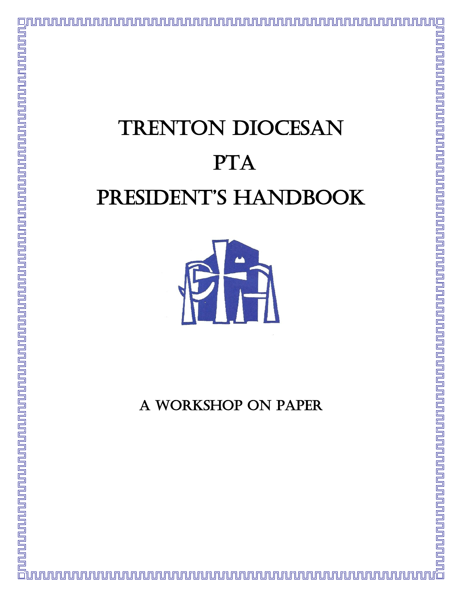# TRENTON DIOCESAN PTA PRESIDENT'S HANDBOOK



A WORKSHOP ON PAPER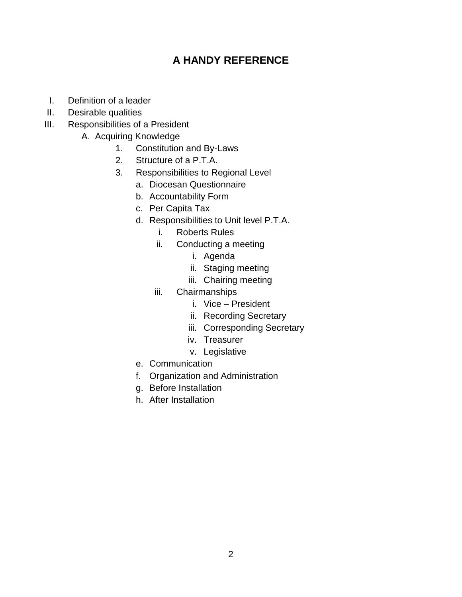## **A HANDY REFERENCE**

- I. Definition of a leader
- II. Desirable qualities
- III. Responsibilities of a President
	- A. Acquiring Knowledge
		- 1. Constitution and By-Laws
		- 2. Structure of a P.T.A.
		- 3. Responsibilities to Regional Level
			- a. Diocesan Questionnaire
			- b. Accountability Form
			- c. Per Capita Tax
			- d. Responsibilities to Unit level P.T.A.
				- i. Roberts Rules
				- ii. Conducting a meeting
					- i. Agenda
					- ii. Staging meeting
					- iii. Chairing meeting
				- iii. Chairmanships
					- i. Vice President
					- ii. Recording Secretary
					- iii. Corresponding Secretary
					- iv. Treasurer
					- v. Legislative
			- e. Communication
			- f. Organization and Administration
			- g. Before Installation
			- h. After Installation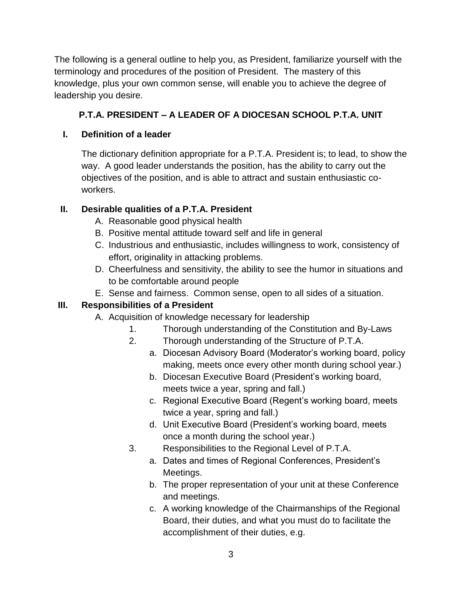The following is a general outline to help you, as President, familiarize yourself with the terminology and procedures of the position of President. The mastery of this knowledge, plus your own common sense, will enable you to achieve the degree of leadership you desire.

### **P.T.A. PRESIDENT – A LEADER OF A DIOCESAN SCHOOL P.T.A. UNIT**

#### **I. Definition of a leader**

The dictionary definition appropriate for a P.T.A. President is; to lead, to show the way. A good leader understands the position, has the ability to carry out the objectives of the position, and is able to attract and sustain enthusiastic coworkers.

### **II. Desirable qualities of a P.T.A. President**

- A. Reasonable good physical health
- B. Positive mental attitude toward self and life in general
- C. Industrious and enthusiastic, includes willingness to work, consistency of effort, originality in attacking problems.
- D. Cheerfulness and sensitivity, the ability to see the humor in situations and to be comfortable around people
- E. Sense and fairness. Common sense, open to all sides of a situation.

### **III. Responsibilities of a President**

- A. Acquisition of knowledge necessary for leadership
	- 1. Thorough understanding of the Constitution and By-Laws
	- 2. Thorough understanding of the Structure of P.T.A.
		- a. Diocesan Advisory Board (Moderator's working board, policy making, meets once every other month during school year.)
		- b. Diocesan Executive Board (President's working board, meets twice a year, spring and fall.)
		- c. Regional Executive Board (Regent's working board, meets twice a year, spring and fall.)
		- d. Unit Executive Board (President's working board, meets once a month during the school year.)
	- 3. Responsibilities to the Regional Level of P.T.A.
		- a. Dates and times of Regional Conferences, President's Meetings.
		- b. The proper representation of your unit at these Conference and meetings.
		- c. A working knowledge of the Chairmanships of the Regional Board, their duties, and what you must do to facilitate the accomplishment of their duties, e.g.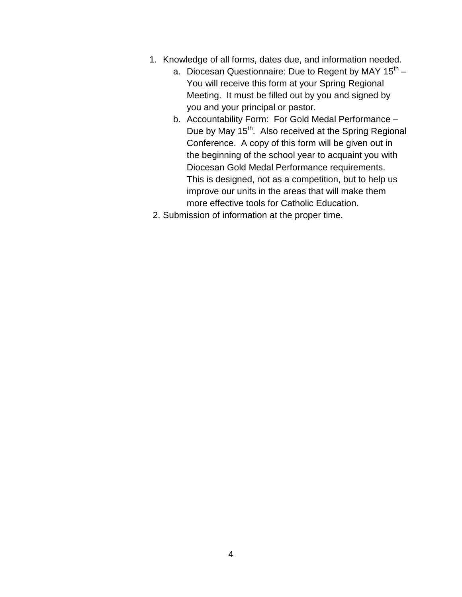- 1. Knowledge of all forms, dates due, and information needed.
	- a. Diocesan Questionnaire: Due to Regent by MAY 15<sup>th</sup> You will receive this form at your Spring Regional Meeting. It must be filled out by you and signed by you and your principal or pastor.
	- b. Accountability Form: For Gold Medal Performance Due by May 15<sup>th</sup>. Also received at the Spring Regional Conference. A copy of this form will be given out in the beginning of the school year to acquaint you with Diocesan Gold Medal Performance requirements. This is designed, not as a competition, but to help us improve our units in the areas that will make them more effective tools for Catholic Education.
- 2. Submission of information at the proper time.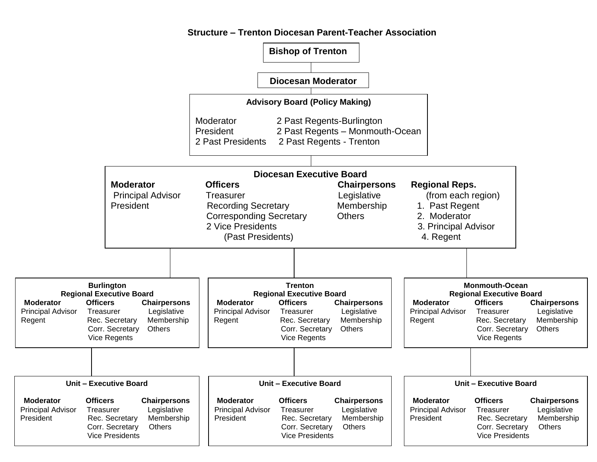

#### **Structure – Trenton Diocesan Parent-Teacher Association**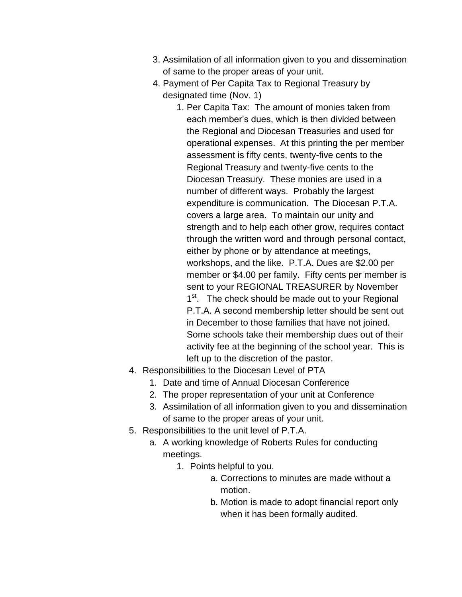- 3. Assimilation of all information given to you and dissemination of same to the proper areas of your unit.
- 4. Payment of Per Capita Tax to Regional Treasury by designated time (Nov. 1)
	- 1. Per Capita Tax: The amount of monies taken from each member's dues, which is then divided between the Regional and Diocesan Treasuries and used for operational expenses. At this printing the per member assessment is fifty cents, twenty-five cents to the Regional Treasury and twenty-five cents to the Diocesan Treasury. These monies are used in a number of different ways. Probably the largest expenditure is communication. The Diocesan P.T.A. covers a large area. To maintain our unity and strength and to help each other grow, requires contact through the written word and through personal contact, either by phone or by attendance at meetings, workshops, and the like. P.T.A. Dues are \$2.00 per member or \$4.00 per family. Fifty cents per member is sent to your REGIONAL TREASURER by November 1<sup>st</sup>. The check should be made out to your Regional P.T.A. A second membership letter should be sent out in December to those families that have not joined. Some schools take their membership dues out of their activity fee at the beginning of the school year. This is left up to the discretion of the pastor.
- 4. Responsibilities to the Diocesan Level of PTA
	- 1. Date and time of Annual Diocesan Conference
	- 2. The proper representation of your unit at Conference
	- 3. Assimilation of all information given to you and dissemination of same to the proper areas of your unit.
- 5. Responsibilities to the unit level of P.T.A.
	- a. A working knowledge of Roberts Rules for conducting meetings.
		- 1. Points helpful to you.
			- a. Corrections to minutes are made without a motion.
			- b. Motion is made to adopt financial report only when it has been formally audited.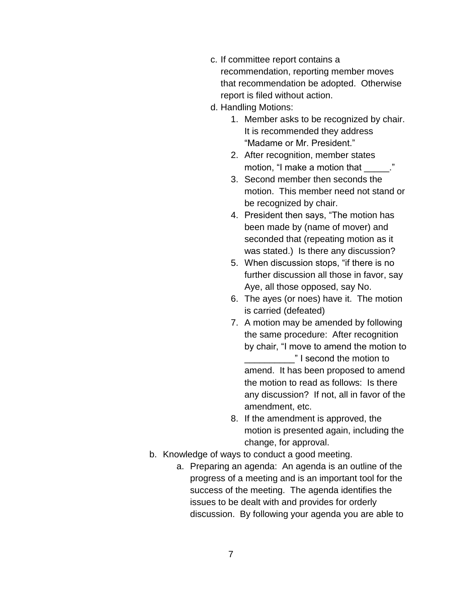- c. If committee report contains a recommendation, reporting member moves that recommendation be adopted. Otherwise report is filed without action.
- d. Handling Motions:
	- 1. Member asks to be recognized by chair. It is recommended they address "Madame or Mr. President."
	- 2. After recognition, member states motion, "I make a motion that  $\blacksquare$ ."
	- 3. Second member then seconds the motion. This member need not stand or be recognized by chair.
	- 4. President then says, "The motion has been made by (name of mover) and seconded that (repeating motion as it was stated.) Is there any discussion?
	- 5. When discussion stops, "if there is no further discussion all those in favor, say Aye, all those opposed, say No.
	- 6. The ayes (or noes) have it. The motion is carried (defeated)
	- 7. A motion may be amended by following the same procedure: After recognition by chair, "I move to amend the motion to \_\_\_\_\_\_\_\_\_\_" I second the motion to amend. It has been proposed to amend the motion to read as follows: Is there any discussion? If not, all in favor of the amendment, etc.
	- 8. If the amendment is approved, the motion is presented again, including the change, for approval.
- b. Knowledge of ways to conduct a good meeting.
	- a. Preparing an agenda: An agenda is an outline of the progress of a meeting and is an important tool for the success of the meeting. The agenda identifies the issues to be dealt with and provides for orderly discussion. By following your agenda you are able to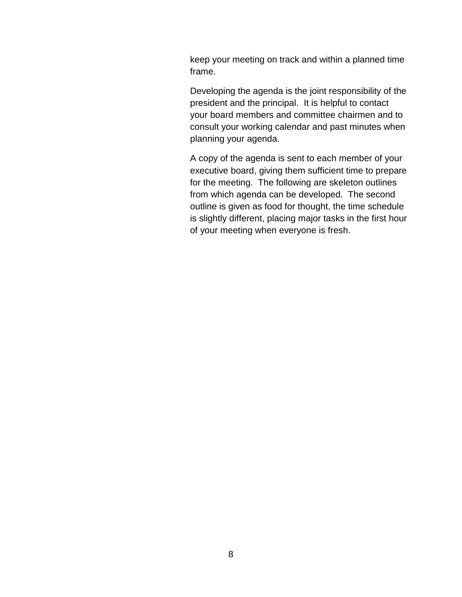keep your meeting on track and within a planned time frame.

Developing the agenda is the joint responsibility of the president and the principal. It is helpful to contact your board members and committee chairmen and to consult your working calendar and past minutes when planning your agenda.

A copy of the agenda is sent to each member of your executive board, giving them sufficient time to prepare for the meeting. The following are skeleton outlines from which agenda can be developed. The second outline is given as food for thought, the time schedule is slightly different, placing major tasks in the first hour of your meeting when everyone is fresh.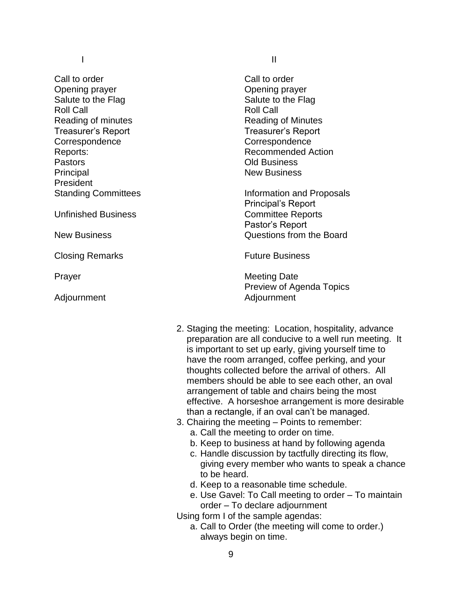Call to order Opening prayer Salute to the Flag Roll Call Reading of minutes Treasurer's Report **Correspondence** Reports: **Pastors** Principal President Standing Committees

Unfinished Business

New Business

Closing Remarks

Prayer

Adjournment

I is a set of the set of the set of the set of the set of the set of the set of the set of the set of the set o

Call to order Opening prayer Salute to the Flag Roll Call Reading of Minutes Treasurer's Report Correspondence Recommended Action Old Business New Business

Information and Proposals Principal's Report Committee Reports Pastor's Report Questions from the Board

Future Business

Meeting Date Preview of Agenda Topics Adjournment

- 2. Staging the meeting: Location, hospitality, advance preparation are all conducive to a well run meeting. It is important to set up early, giving yourself time to have the room arranged, coffee perking, and your thoughts collected before the arrival of others. All members should be able to see each other, an oval arrangement of table and chairs being the most effective. A horseshoe arrangement is more desirable than a rectangle, if an oval can't be managed.
- 3. Chairing the meeting Points to remember:
	- a. Call the meeting to order on time.
	- b. Keep to business at hand by following agenda
	- c. Handle discussion by tactfully directing its flow, giving every member who wants to speak a chance to be heard.
	- d. Keep to a reasonable time schedule.
	- e. Use Gavel: To Call meeting to order To maintain order – To declare adjournment

Using form I of the sample agendas:

a. Call to Order (the meeting will come to order.) always begin on time.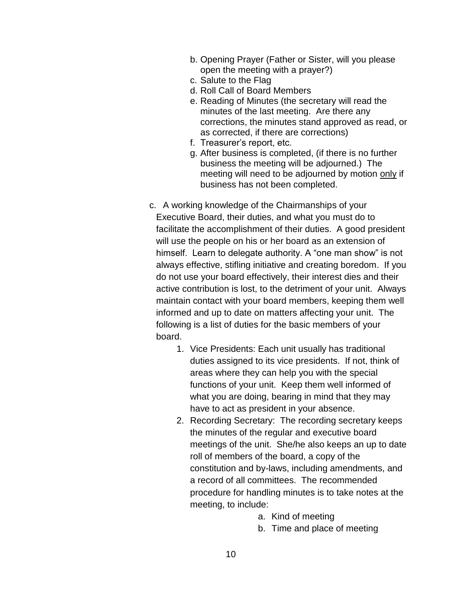- b. Opening Prayer (Father or Sister, will you please open the meeting with a prayer?)
- c. Salute to the Flag
- d. Roll Call of Board Members
- e. Reading of Minutes (the secretary will read the minutes of the last meeting. Are there any corrections, the minutes stand approved as read, or as corrected, if there are corrections)
- f. Treasurer's report, etc.
- g. After business is completed, (if there is no further business the meeting will be adjourned.) The meeting will need to be adjourned by motion only if business has not been completed.
- c. A working knowledge of the Chairmanships of your Executive Board, their duties, and what you must do to facilitate the accomplishment of their duties. A good president will use the people on his or her board as an extension of himself. Learn to delegate authority. A "one man show" is not always effective, stifling initiative and creating boredom. If you do not use your board effectively, their interest dies and their active contribution is lost, to the detriment of your unit. Always maintain contact with your board members, keeping them well informed and up to date on matters affecting your unit. The following is a list of duties for the basic members of your board.
	- 1. Vice Presidents: Each unit usually has traditional duties assigned to its vice presidents. If not, think of areas where they can help you with the special functions of your unit. Keep them well informed of what you are doing, bearing in mind that they may have to act as president in your absence.
	- 2. Recording Secretary: The recording secretary keeps the minutes of the regular and executive board meetings of the unit. She/he also keeps an up to date roll of members of the board, a copy of the constitution and by-laws, including amendments, and a record of all committees. The recommended procedure for handling minutes is to take notes at the meeting, to include:
		- a. Kind of meeting
		- b. Time and place of meeting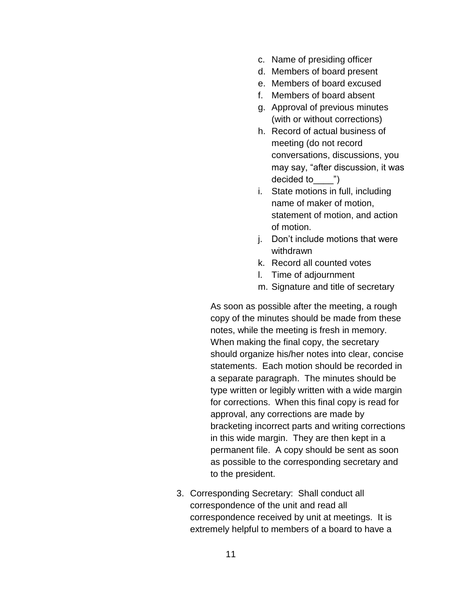- c. Name of presiding officer
- d. Members of board present
- e. Members of board excused
- f. Members of board absent
- g. Approval of previous minutes (with or without corrections)
- h. Record of actual business of meeting (do not record conversations, discussions, you may say, "after discussion, it was decided to\_\_\_\_")
- i. State motions in full, including name of maker of motion, statement of motion, and action of motion.
- j. Don't include motions that were withdrawn
- k. Record all counted votes
- l. Time of adjournment
- m. Signature and title of secretary

As soon as possible after the meeting, a rough copy of the minutes should be made from these notes, while the meeting is fresh in memory. When making the final copy, the secretary should organize his/her notes into clear, concise statements. Each motion should be recorded in a separate paragraph. The minutes should be type written or legibly written with a wide margin for corrections. When this final copy is read for approval, any corrections are made by bracketing incorrect parts and writing corrections in this wide margin. They are then kept in a permanent file. A copy should be sent as soon as possible to the corresponding secretary and to the president.

3. Corresponding Secretary: Shall conduct all correspondence of the unit and read all correspondence received by unit at meetings. It is extremely helpful to members of a board to have a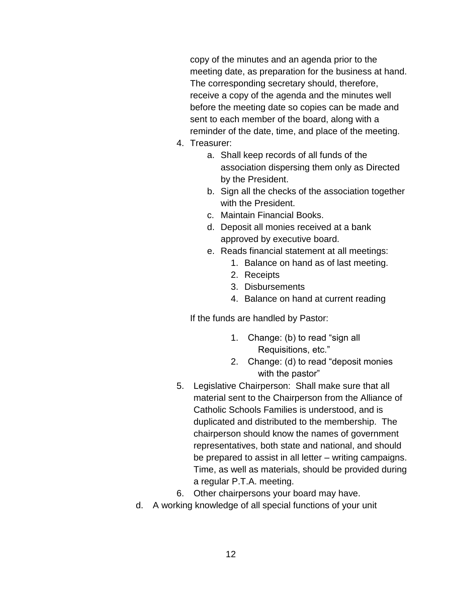copy of the minutes and an agenda prior to the meeting date, as preparation for the business at hand. The corresponding secretary should, therefore, receive a copy of the agenda and the minutes well before the meeting date so copies can be made and sent to each member of the board, along with a reminder of the date, time, and place of the meeting.

- 4. Treasurer:
	- a. Shall keep records of all funds of the association dispersing them only as Directed by the President.
	- b. Sign all the checks of the association together with the President.
	- c. Maintain Financial Books.
	- d. Deposit all monies received at a bank approved by executive board.
	- e. Reads financial statement at all meetings:
		- 1. Balance on hand as of last meeting.
		- 2. Receipts
		- 3. Disbursements
		- 4. Balance on hand at current reading

If the funds are handled by Pastor:

- 1. Change: (b) to read "sign all Requisitions, etc."
- 2. Change: (d) to read "deposit monies with the pastor"
- 5. Legislative Chairperson: Shall make sure that all material sent to the Chairperson from the Alliance of Catholic Schools Families is understood, and is duplicated and distributed to the membership. The chairperson should know the names of government representatives, both state and national, and should be prepared to assist in all letter – writing campaigns. Time, as well as materials, should be provided during a regular P.T.A. meeting.
- 6. Other chairpersons your board may have.
- d. A working knowledge of all special functions of your unit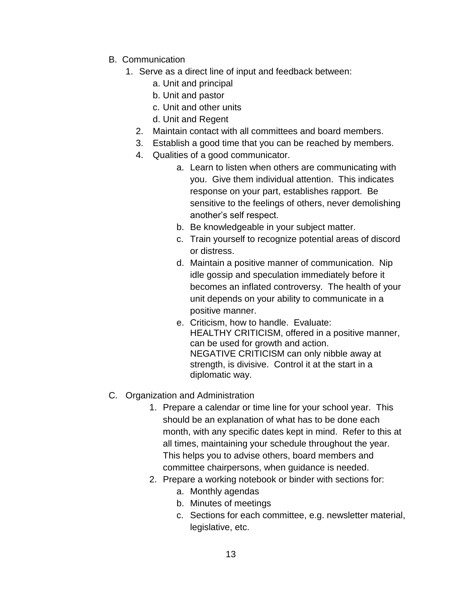- B. Communication
	- 1. Serve as a direct line of input and feedback between:
		- a. Unit and principal
		- b. Unit and pastor
		- c. Unit and other units
		- d. Unit and Regent
		- 2. Maintain contact with all committees and board members.
		- 3. Establish a good time that you can be reached by members.
		- 4. Qualities of a good communicator.
			- a. Learn to listen when others are communicating with you. Give them individual attention. This indicates response on your part, establishes rapport. Be sensitive to the feelings of others, never demolishing another's self respect.
			- b. Be knowledgeable in your subject matter.
			- c. Train yourself to recognize potential areas of discord or distress.
			- d. Maintain a positive manner of communication. Nip idle gossip and speculation immediately before it becomes an inflated controversy. The health of your unit depends on your ability to communicate in a positive manner.
			- e. Criticism, how to handle. Evaluate: HEALTHY CRITICISM, offered in a positive manner, can be used for growth and action. NEGATIVE CRITICISM can only nibble away at strength, is divisive. Control it at the start in a diplomatic way.
- C. Organization and Administration
	- 1. Prepare a calendar or time line for your school year. This should be an explanation of what has to be done each month, with any specific dates kept in mind. Refer to this at all times, maintaining your schedule throughout the year. This helps you to advise others, board members and committee chairpersons, when guidance is needed.
	- 2. Prepare a working notebook or binder with sections for:
		- a. Monthly agendas
		- b. Minutes of meetings
		- c. Sections for each committee, e.g. newsletter material, legislative, etc.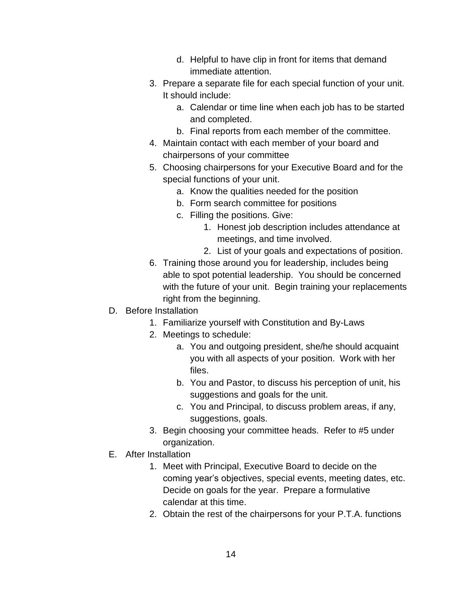- d. Helpful to have clip in front for items that demand immediate attention.
- 3. Prepare a separate file for each special function of your unit. It should include:
	- a. Calendar or time line when each job has to be started and completed.
	- b. Final reports from each member of the committee.
- 4. Maintain contact with each member of your board and chairpersons of your committee
- 5. Choosing chairpersons for your Executive Board and for the special functions of your unit.
	- a. Know the qualities needed for the position
	- b. Form search committee for positions
	- c. Filling the positions. Give:
		- 1. Honest job description includes attendance at meetings, and time involved.
		- 2. List of your goals and expectations of position.
- 6. Training those around you for leadership, includes being able to spot potential leadership. You should be concerned with the future of your unit. Begin training your replacements right from the beginning.
- D. Before Installation
	- 1. Familiarize yourself with Constitution and By-Laws
	- 2. Meetings to schedule:
		- a. You and outgoing president, she/he should acquaint you with all aspects of your position. Work with her files.
		- b. You and Pastor, to discuss his perception of unit, his suggestions and goals for the unit.
		- c. You and Principal, to discuss problem areas, if any, suggestions, goals.
	- 3. Begin choosing your committee heads. Refer to #5 under organization.
- E. After Installation
	- 1. Meet with Principal, Executive Board to decide on the coming year's objectives, special events, meeting dates, etc. Decide on goals for the year. Prepare a formulative calendar at this time.
	- 2. Obtain the rest of the chairpersons for your P.T.A. functions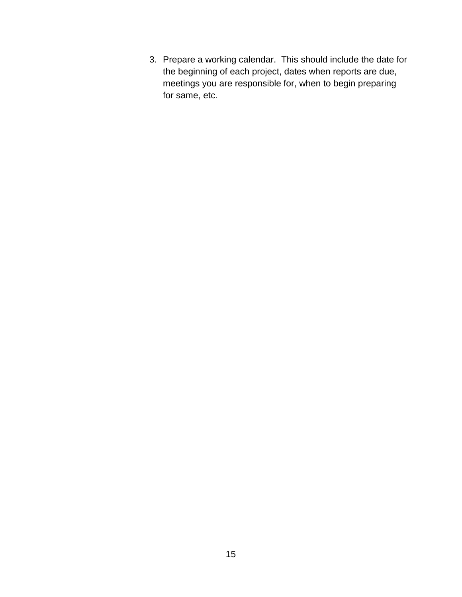3. Prepare a working calendar. This should include the date for the beginning of each project, dates when reports are due, meetings you are responsible for, when to begin preparing for same, etc.